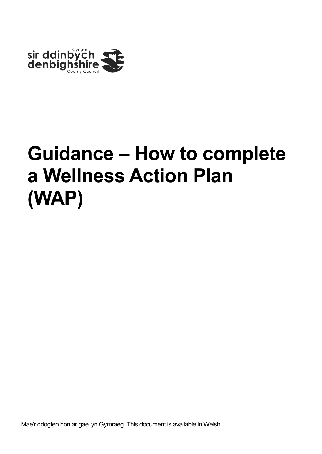

Mae'r ddogfen hon ar gael yn Gymraeg. This document is available in Welsh.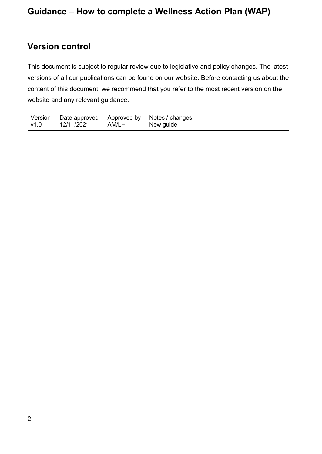## <span id="page-1-0"></span>**Version control**

This document is subject to regular review due to legislative and policy changes. The latest versions of all our publications can be found on our website. Before contacting us about the content of this document, we recommend that you refer to the most recent version on the website and any relevant guidance.

| Version        | Date approved | bv<br>Approved    | <b>Notes</b><br>changes |
|----------------|---------------|-------------------|-------------------------|
| $\mathsf{v}$ 1 | /202<br>0/4   | AM/L <sub>I</sub> | New quide               |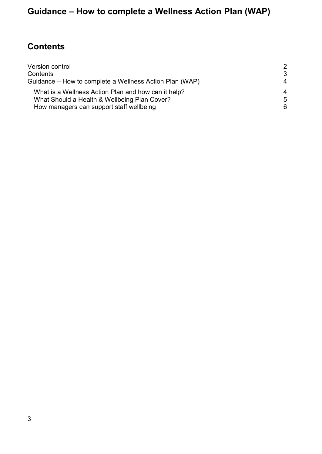## <span id="page-2-0"></span>**Contents**

| Version control                                         | 2  |
|---------------------------------------------------------|----|
| Contents                                                | 3  |
| Guidance – How to complete a Wellness Action Plan (WAP) | 4  |
| What is a Wellness Action Plan and how can it help?     | 4  |
| What Should a Health & Wellbeing Plan Cover?            | .5 |
| How managers can support staff wellbeing                | 6  |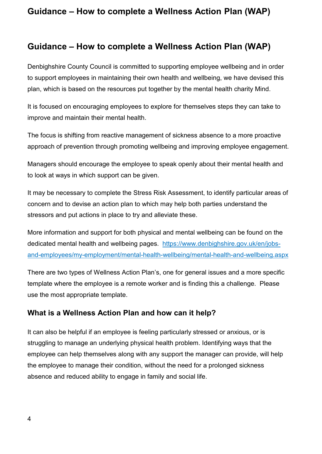#### <span id="page-3-0"></span>**Guidance – How to complete a Wellness Action Plan (WAP)**

Denbighshire County Council is committed to supporting employee wellbeing and in order to support employees in maintaining their own health and wellbeing, we have devised this plan, which is based on the resources put together by the mental health charity Mind.

It is focused on encouraging employees to explore for themselves steps they can take to improve and maintain their mental health.

The focus is shifting from reactive management of sickness absence to a more proactive approach of prevention through promoting wellbeing and improving employee engagement.

Managers should encourage the employee to speak openly about their mental health and to look at ways in which support can be given.

It may be necessary to complete the Stress Risk Assessment, to identify particular areas of concern and to devise an action plan to which may help both parties understand the stressors and put actions in place to try and alleviate these.

More information and support for both physical and mental wellbeing can be found on the dedicated mental health and wellbeing pages. [https://www.denbighshire.gov.uk/en/jobs](https://www.denbighshire.gov.uk/en/jobs-and-employees/my-employment/mental-health-wellbeing/mental-health-and-wellbeing.aspx)[and-employees/my-employment/mental-health-wellbeing/mental-health-and-wellbeing.aspx](https://www.denbighshire.gov.uk/en/jobs-and-employees/my-employment/mental-health-wellbeing/mental-health-and-wellbeing.aspx) 

There are two types of Wellness Action Plan's, one for general issues and a more specific template where the employee is a remote worker and is finding this a challenge. Please use the most appropriate template.

#### <span id="page-3-1"></span>**What is a Wellness Action Plan and how can it help?**

It can also be helpful if an employee is feeling particularly stressed or anxious, or is struggling to manage an underlying physical health problem. Identifying ways that the employee can help themselves along with any support the manager can provide, will help the employee to manage their condition, without the need for a prolonged sickness absence and reduced ability to engage in family and social life.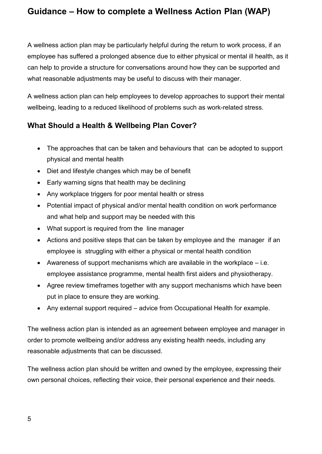A wellness action plan may be particularly helpful during the return to work process, if an employee has suffered a prolonged absence due to either physical or mental ill health, as it can help to provide a structure for conversations around how they can be supported and what reasonable adjustments may be useful to discuss with their manager.

A wellness action plan can help employees to develop approaches to support their mental wellbeing, leading to a reduced likelihood of problems such as work-related stress.

#### <span id="page-4-0"></span>**What Should a Health & Wellbeing Plan Cover?**

- The approaches that can be taken and behaviours that can be adopted to support physical and mental health
- Diet and lifestyle changes which may be of benefit
- Early warning signs that health may be declining
- Any workplace triggers for poor mental health or stress
- Potential impact of physical and/or mental health condition on work performance and what help and support may be needed with this
- What support is required from the line manager
- Actions and positive steps that can be taken by employee and the manager if an employee is struggling with either a physical or mental health condition
- Awareness of support mechanisms which are available in the workplace  $-$  i.e. employee assistance programme, mental health first aiders and physiotherapy.
- Agree review timeframes together with any support mechanisms which have been put in place to ensure they are working.
- Any external support required advice from Occupational Health for example.

The wellness action plan is intended as an agreement between employee and manager in order to promote wellbeing and/or address any existing health needs, including any reasonable adjustments that can be discussed.

The wellness action plan should be written and owned by the employee, expressing their own personal choices, reflecting their voice, their personal experience and their needs.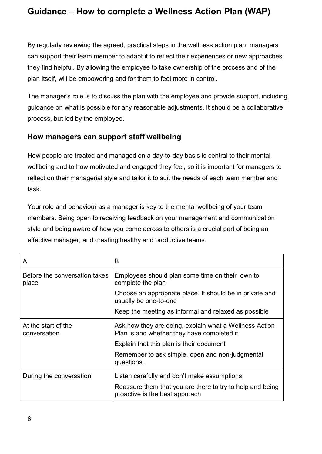By regularly reviewing the agreed, practical steps in the wellness action plan, managers can support their team member to adapt it to reflect their experiences or new approaches they find helpful. By allowing the employee to take ownership of the process and of the plan itself, will be empowering and for them to feel more in control.

The manager's role is to discuss the plan with the employee and provide support, including guidance on what is possible for any reasonable adjustments. It should be a collaborative process, but led by the employee.

#### <span id="page-5-0"></span>**How managers can support staff wellbeing**

How people are treated and managed on a day-to-day basis is central to their mental wellbeing and to how motivated and engaged they feel, so it is important for managers to reflect on their managerial style and tailor it to suit the needs of each team member and task.

Your role and behaviour as a manager is key to the mental wellbeing of your team members. Being open to receiving feedback on your management and communication style and being aware of how you come across to others is a crucial part of being an effective manager, and creating healthy and productive teams.

| A                                      | B                                                                                                    |
|----------------------------------------|------------------------------------------------------------------------------------------------------|
| Before the conversation takes<br>place | Employees should plan some time on their own to<br>complete the plan                                 |
|                                        | Choose an appropriate place. It should be in private and<br>usually be one-to-one                    |
|                                        | Keep the meeting as informal and relaxed as possible                                                 |
| At the start of the<br>conversation    | Ask how they are doing, explain what a Wellness Action<br>Plan is and whether they have completed it |
|                                        | Explain that this plan is their document                                                             |
|                                        | Remember to ask simple, open and non-judgmental<br>questions.                                        |
| During the conversation                | Listen carefully and don't make assumptions                                                          |
|                                        | Reassure them that you are there to try to help and being<br>proactive is the best approach          |